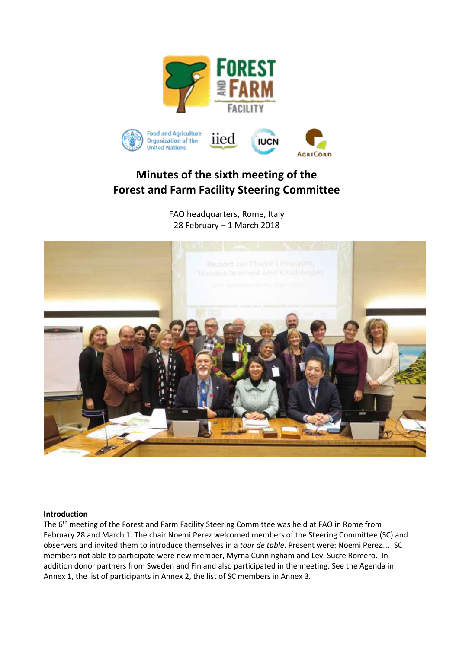

# **Minutes of the sixth meeting of the Forest and Farm Facility Steering Committee**

FAO headquarters, Rome, Italy 28 February – 1 March 2018



#### **Introduction**

The 6<sup>th</sup> meeting of the Forest and Farm Facility Steering Committee was held at FAO in Rome from February 28 and March 1. The chair Noemi Perez welcomed members of the Steering Committee (SC) and observers and invited them to introduce themselves in a *tour de table*. Present were: Noemi Perez…. SC members not able to participate were new member, Myrna Cunningham and Levi Sucre Romero. In addition donor partners from Sweden and Finland also participated in the meeting. See the Agenda in Annex 1, the list of participants in Annex 2, the list of SC members in Annex 3.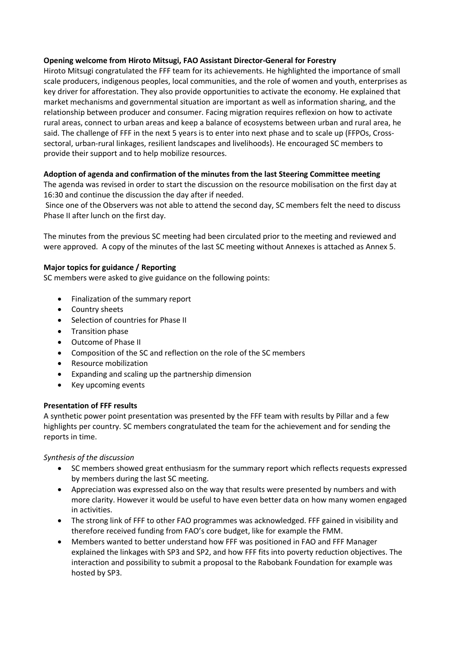# **Opening welcome from Hiroto Mitsugi, FAO Assistant Director-General for Forestry**

Hiroto Mitsugi congratulated the FFF team for its achievements. He highlighted the importance of small scale producers, indigenous peoples, local communities, and the role of women and youth, enterprises as key driver for afforestation. They also provide opportunities to activate the economy. He explained that market mechanisms and governmental situation are important as well as information sharing, and the relationship between producer and consumer. Facing migration requires reflexion on how to activate rural areas, connect to urban areas and keep a balance of ecosystems between urban and rural area, he said. The challenge of FFF in the next 5 years is to enter into next phase and to scale up (FFPOs, Crosssectoral, urban-rural linkages, resilient landscapes and livelihoods). He encouraged SC members to provide their support and to help mobilize resources.

# **Adoption of agenda and confirmation of the minutes from the last Steering Committee meeting**

The agenda was revised in order to start the discussion on the resource mobilisation on the first day at 16:30 and continue the discussion the day after if needed.

Since one of the Observers was not able to attend the second day, SC members felt the need to discuss Phase II after lunch on the first day.

The minutes from the previous SC meeting had been circulated prior to the meeting and reviewed and were approved. A copy of the minutes of the last SC meeting without Annexes is attached as Annex 5.

#### **Major topics for guidance / Reporting**

SC members were asked to give guidance on the following points:

- Finalization of the summary report
- Country sheets
- Selection of countries for Phase II
- Transition phase
- Outcome of Phase II
- Composition of the SC and reflection on the role of the SC members
- Resource mobilization
- Expanding and scaling up the partnership dimension
- Key upcoming events

#### **Presentation of FFF results**

A synthetic power point presentation was presented by the FFF team with results by Pillar and a few highlights per country. SC members congratulated the team for the achievement and for sending the reports in time.

#### *Synthesis of the discussion*

- SC members showed great enthusiasm for the summary report which reflects requests expressed by members during the last SC meeting.
- Appreciation was expressed also on the way that results were presented by numbers and with more clarity. However it would be useful to have even better data on how many women engaged in activities.
- The strong link of FFF to other FAO programmes was acknowledged. FFF gained in visibility and therefore received funding from FAO's core budget, like for example the FMM.
- Members wanted to better understand how FFF was positioned in FAO and FFF Manager explained the linkages with SP3 and SP2, and how FFF fits into poverty reduction objectives. The interaction and possibility to submit a proposal to the Rabobank Foundation for example was hosted by SP3.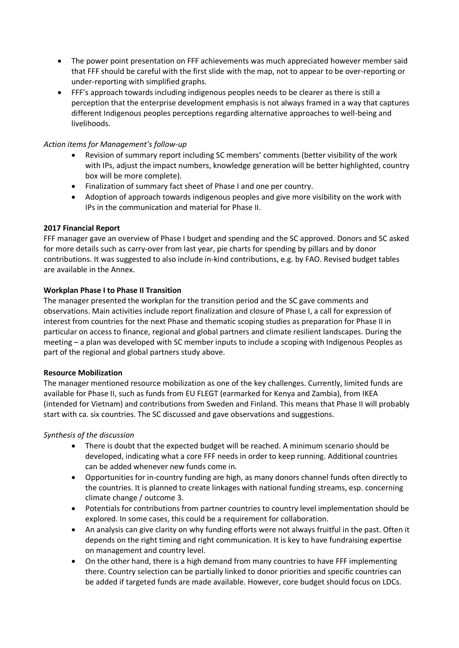- The power point presentation on FFF achievements was much appreciated however member said that FFF should be careful with the first slide with the map, not to appear to be over-reporting or under-reporting with simplified graphs.
- FFF's approach towards including indigenous peoples needs to be clearer as there is still a perception that the enterprise development emphasis is not always framed in a way that captures different Indigenous peoples perceptions regarding alternative approaches to well-being and livelihoods.

# *Action items for Management's follow-up*

- Revision of summary report including SC members' comments (better visibility of the work with IPs, adjust the impact numbers, knowledge generation will be better highlighted, country box will be more complete).
- Finalization of summary fact sheet of Phase I and one per country.
- Adoption of approach towards indigenous peoples and give more visibility on the work with IPs in the communication and material for Phase II.

#### **2017 Financial Report**

FFF manager gave an overview of Phase I budget and spending and the SC approved. Donors and SC asked for more details such as carry-over from last year, pie charts for spending by pillars and by donor contributions. It was suggested to also include in-kind contributions, e.g. by FAO. Revised budget tables are available in the Annex.

#### **Workplan Phase I to Phase II Transition**

The manager presented the workplan for the transition period and the SC gave comments and observations. Main activities include report finalization and closure of Phase I, a call for expression of interest from countries for the next Phase and thematic scoping studies as preparation for Phase II in particular on access to finance, regional and global partners and climate resilient landscapes. During the meeting – a plan was developed with SC member inputs to include a scoping with Indigenous Peoples as part of the regional and global partners study above.

#### **Resource Mobilization**

The manager mentioned resource mobilization as one of the key challenges. Currently, limited funds are available for Phase II, such as funds from EU FLEGT (earmarked for Kenya and Zambia), from IKEA (intended for Vietnam) and contributions from Sweden and Finland. This means that Phase II will probably start with ca. six countries. The SC discussed and gave observations and suggestions.

#### *Synthesis of the discussion*

- There is doubt that the expected budget will be reached. A minimum scenario should be developed, indicating what a core FFF needs in order to keep running. Additional countries can be added whenever new funds come in.
- Opportunities for in-country funding are high, as many donors channel funds often directly to the countries. It is planned to create linkages with national funding streams, esp. concerning climate change / outcome 3.
- Potentials for contributions from partner countries to country level implementation should be explored. In some cases, this could be a requirement for collaboration.
- An analysis can give clarity on why funding efforts were not always fruitful in the past. Often it depends on the right timing and right communication. It is key to have fundraising expertise on management and country level.
- On the other hand, there is a high demand from many countries to have FFF implementing there. Country selection can be partially linked to donor priorities and specific countries can be added if targeted funds are made available. However, core budget should focus on LDCs.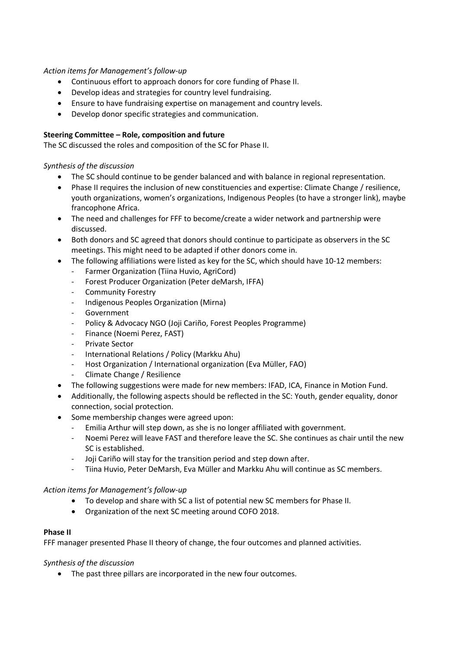#### *Action items for Management's follow-up*

- Continuous effort to approach donors for core funding of Phase II.
- Develop ideas and strategies for country level fundraising.
- Ensure to have fundraising expertise on management and country levels.
- Develop donor specific strategies and communication.

#### **Steering Committee – Role, composition and future**

The SC discussed the roles and composition of the SC for Phase II.

#### *Synthesis of the discussion*

- The SC should continue to be gender balanced and with balance in regional representation.
- Phase II requires the inclusion of new constituencies and expertise: Climate Change / resilience, youth organizations, women's organizations, Indigenous Peoples (to have a stronger link), maybe francophone Africa.
- The need and challenges for FFF to become/create a wider network and partnership were discussed.
- Both donors and SC agreed that donors should continue to participate as observers in the SC meetings. This might need to be adapted if other donors come in.
- The following affiliations were listed as key for the SC, which should have 10-12 members:
	- Farmer Organization (Tiina Huvio, AgriCord)
	- Forest Producer Organization (Peter deMarsh, IFFA)
	- Community Forestry
	- Indigenous Peoples Organization (Mirna)
	- **Government**
	- Policy & Advocacy NGO (Joji Cariño, Forest Peoples Programme)
	- Finance (Noemi Perez, FAST)
	- Private Sector
	- International Relations / Policy (Markku Ahu)
	- Host Organization / International organization (Eva Müller, FAO)
	- Climate Change / Resilience
- The following suggestions were made for new members: IFAD, ICA, Finance in Motion Fund.
- Additionally, the following aspects should be reflected in the SC: Youth, gender equality, donor connection, social protection.
- Some membership changes were agreed upon:
	- Emilia Arthur will step down, as she is no longer affiliated with government.
	- Noemi Perez will leave FAST and therefore leave the SC. She continues as chair until the new SC is established.
	- Joji Cariño will stay for the transition period and step down after.
	- Tiina Huvio, Peter DeMarsh, Eva Müller and Markku Ahu will continue as SC members.

#### *Action items for Management's follow-up*

- To develop and share with SC a list of potential new SC members for Phase II.
- Organization of the next SC meeting around COFO 2018.

#### **Phase II**

FFF manager presented Phase II theory of change, the four outcomes and planned activities.

#### *Synthesis of the discussion*

• The past three pillars are incorporated in the new four outcomes.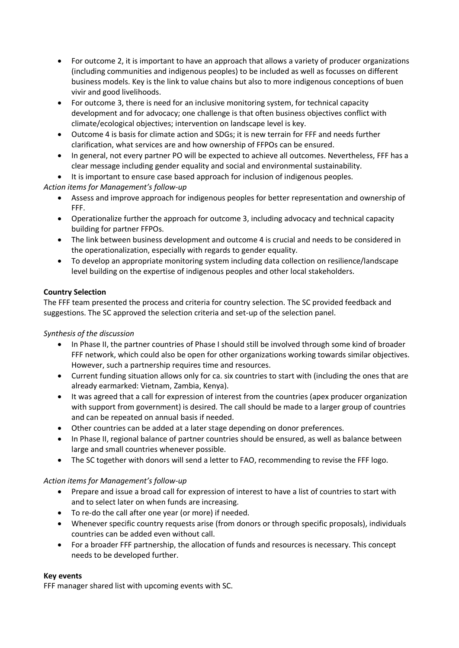- For outcome 2, it is important to have an approach that allows a variety of producer organizations (including communities and indigenous peoples) to be included as well as focusses on different business models. Key is the link to value chains but also to more indigenous conceptions of buen vivir and good livelihoods.
- For outcome 3, there is need for an inclusive monitoring system, for technical capacity development and for advocacy; one challenge is that often business objectives conflict with climate/ecological objectives; intervention on landscape level is key.
- Outcome 4 is basis for climate action and SDGs; it is new terrain for FFF and needs further clarification, what services are and how ownership of FFPOs can be ensured.
- In general, not every partner PO will be expected to achieve all outcomes. Nevertheless, FFF has a clear message including gender equality and social and environmental sustainability.
- It is important to ensure case based approach for inclusion of indigenous peoples.

*Action items for Management's follow-up*

- Assess and improve approach for indigenous peoples for better representation and ownership of FFF.
- Operationalize further the approach for outcome 3, including advocacy and technical capacity building for partner FFPOs.
- The link between business development and outcome 4 is crucial and needs to be considered in the operationalization, especially with regards to gender equality.
- To develop an appropriate monitoring system including data collection on resilience/landscape level building on the expertise of indigenous peoples and other local stakeholders.

# **Country Selection**

The FFF team presented the process and criteria for country selection. The SC provided feedback and suggestions. The SC approved the selection criteria and set-up of the selection panel.

# *Synthesis of the discussion*

- In Phase II, the partner countries of Phase I should still be involved through some kind of broader FFF network, which could also be open for other organizations working towards similar objectives. However, such a partnership requires time and resources.
- Current funding situation allows only for ca. six countries to start with (including the ones that are already earmarked: Vietnam, Zambia, Kenya).
- It was agreed that a call for expression of interest from the countries (apex producer organization with support from government) is desired. The call should be made to a larger group of countries and can be repeated on annual basis if needed.
- Other countries can be added at a later stage depending on donor preferences.
- In Phase II, regional balance of partner countries should be ensured, as well as balance between large and small countries whenever possible.
- The SC together with donors will send a letter to FAO, recommending to revise the FFF logo.

# *Action items for Management's follow-up*

- Prepare and issue a broad call for expression of interest to have a list of countries to start with and to select later on when funds are increasing.
- To re-do the call after one year (or more) if needed.
- Whenever specific country requests arise (from donors or through specific proposals), individuals countries can be added even without call.
- For a broader FFF partnership, the allocation of funds and resources is necessary. This concept needs to be developed further.

#### **Key events**

FFF manager shared list with upcoming events with SC.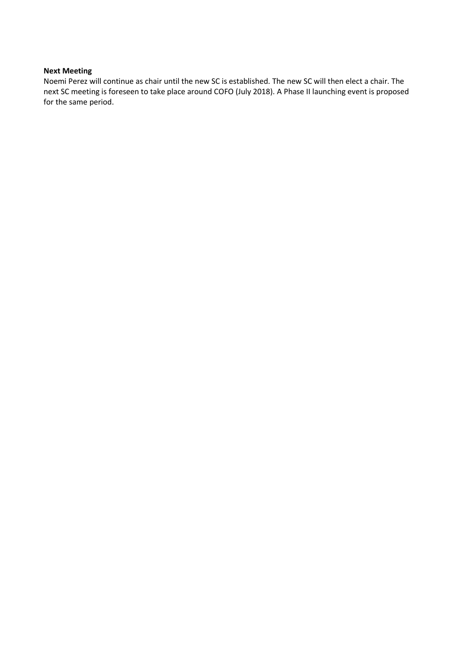#### **Next Meeting**

Noemi Perez will continue as chair until the new SC is established. The new SC will then elect a chair. The next SC meeting is foreseen to take place around COFO (July 2018). A Phase II launching event is proposed for the same period.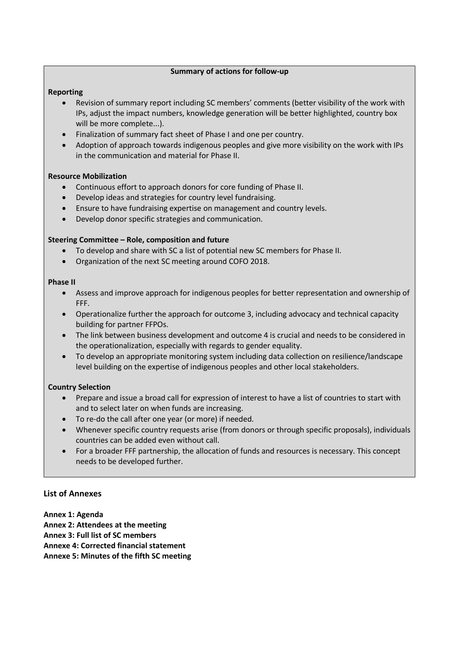#### **Summary of actions for follow-up**

## **Reporting**

- Revision of summary report including SC members' comments (better visibility of the work with IPs, adjust the impact numbers, knowledge generation will be better highlighted, country box will be more complete...).
- Finalization of summary fact sheet of Phase I and one per country.
- Adoption of approach towards indigenous peoples and give more visibility on the work with IPs in the communication and material for Phase II.

#### **Resource Mobilization**

- Continuous effort to approach donors for core funding of Phase II.
- Develop ideas and strategies for country level fundraising.
- Ensure to have fundraising expertise on management and country levels.
- Develop donor specific strategies and communication.

#### **Steering Committee – Role, composition and future**

- To develop and share with SC a list of potential new SC members for Phase II.
- Organization of the next SC meeting around COFO 2018.

#### **Phase II**

- Assess and improve approach for indigenous peoples for better representation and ownership of FFF.
- Operationalize further the approach for outcome 3, including advocacy and technical capacity building for partner FFPOs.
- The link between business development and outcome 4 is crucial and needs to be considered in the operationalization, especially with regards to gender equality.
- To develop an appropriate monitoring system including data collection on resilience/landscape level building on the expertise of indigenous peoples and other local stakeholders.

# **Country Selection**

- Prepare and issue a broad call for expression of interest to have a list of countries to start with and to select later on when funds are increasing.
- To re-do the call after one year (or more) if needed.
- Whenever specific country requests arise (from donors or through specific proposals), individuals countries can be added even without call.
- For a broader FFF partnership, the allocation of funds and resources is necessary. This concept needs to be developed further.

# **List of Annexes**

**Annex 1: Agenda** 

- **Annex 2: Attendees at the meeting**
- **Annex 3: Full list of SC members**
- **Annexe 4: Corrected financial statement**

**Annexe 5: Minutes of the fifth SC meeting**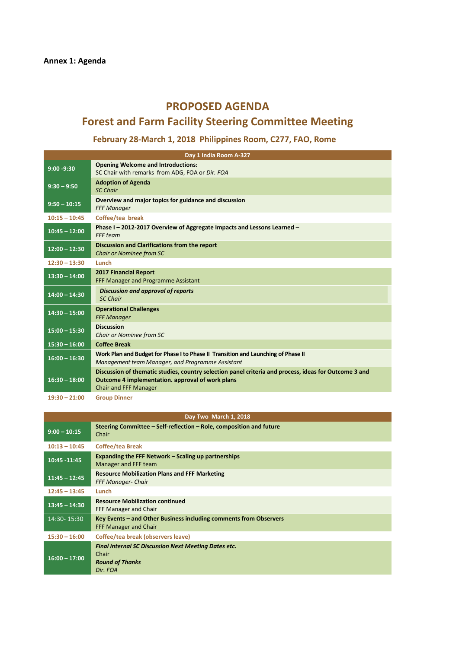# **PROPOSED AGENDA**

# **Forest and Farm Facility Steering Committee Meeting**

# February 28-March 1, 2018 Philippines Room, C277, FAO, Rome

|                 | Day 1 India Room A-327                                                                                                                                                             |  |  |  |  |
|-----------------|------------------------------------------------------------------------------------------------------------------------------------------------------------------------------------|--|--|--|--|
| $9:00 - 9:30$   | <b>Opening Welcome and Introductions:</b><br>SC Chair with remarks from ADG, FOA or Dir. FOA                                                                                       |  |  |  |  |
| $9:30 - 9:50$   | <b>Adoption of Agenda</b><br><b>SC Chair</b>                                                                                                                                       |  |  |  |  |
| $9:50 - 10:15$  | Overview and major topics for guidance and discussion<br><b>FFF Manager</b>                                                                                                        |  |  |  |  |
| $10:15 - 10:45$ | Coffee/tea break                                                                                                                                                                   |  |  |  |  |
| $10:45 - 12:00$ | Phase I-2012-2017 Overview of Aggregate Impacts and Lessons Learned-<br>FFF team                                                                                                   |  |  |  |  |
| $12:00 - 12:30$ | Discussion and Clarifications from the report<br><b>Chair or Nominee from SC</b>                                                                                                   |  |  |  |  |
| $12:30 - 13:30$ | Lunch                                                                                                                                                                              |  |  |  |  |
| $13:30 - 14:00$ | <b>2017 Financial Report</b><br>FFF Manager and Programme Assistant                                                                                                                |  |  |  |  |
| $14:00 - 14:30$ | <b>Discussion and approval of reports</b><br><b>SC Chair</b>                                                                                                                       |  |  |  |  |
| $14:30 - 15:00$ | <b>Operational Challenges</b><br><b>FFF Manager</b>                                                                                                                                |  |  |  |  |
| $15:00 - 15:30$ | <b>Discussion</b><br>Chair or Nominee from SC                                                                                                                                      |  |  |  |  |
| $15:30 - 16:00$ | <b>Coffee Break</b>                                                                                                                                                                |  |  |  |  |
| $16:00 - 16:30$ | Work Plan and Budget for Phase I to Phase II Transition and Launching of Phase II<br>Management team Manager, and Programme Assistant                                              |  |  |  |  |
| $16:30 - 18:00$ | Discussion of thematic studies, country selection panel criteria and process, ideas for Outcome 3 and<br>Outcome 4 implementation. approval of work plans<br>Chair and FFF Manager |  |  |  |  |
| $19:30 - 21:00$ | <b>Group Dinner</b>                                                                                                                                                                |  |  |  |  |

|                 | Day Two March 1, 2018                                                                                      |  |  |  |  |
|-----------------|------------------------------------------------------------------------------------------------------------|--|--|--|--|
| $9:00 - 10:15$  | Steering Committee - Self-reflection - Role, composition and future<br>Chair                               |  |  |  |  |
| $10:13 - 10:45$ | <b>Coffee/tea Break</b>                                                                                    |  |  |  |  |
| 10:45 - 11:45   | Expanding the FFF Network – Scaling up partnerships<br>Manager and FFF team                                |  |  |  |  |
| $11:45 - 12:45$ | <b>Resource Mobilization Plans and FFF Marketing</b><br><b>FFF Manager- Chair</b>                          |  |  |  |  |
| $12:45 - 13:45$ | Lunch                                                                                                      |  |  |  |  |
| $13:45 - 14:30$ | <b>Resource Mobilization continued</b><br>FFF Manager and Chair                                            |  |  |  |  |
| 14:30-15:30     | Key Events – and Other Business including comments from Observers<br><b>FFF Manager and Chair</b>          |  |  |  |  |
| $15:30 - 16:00$ | Coffee/tea break (observers leave)                                                                         |  |  |  |  |
| $16:00 - 17:00$ | <b>Final internal SC Discussion Next Meeting Dates etc.</b><br>Chair<br><b>Round of Thanks</b><br>Dir. FOA |  |  |  |  |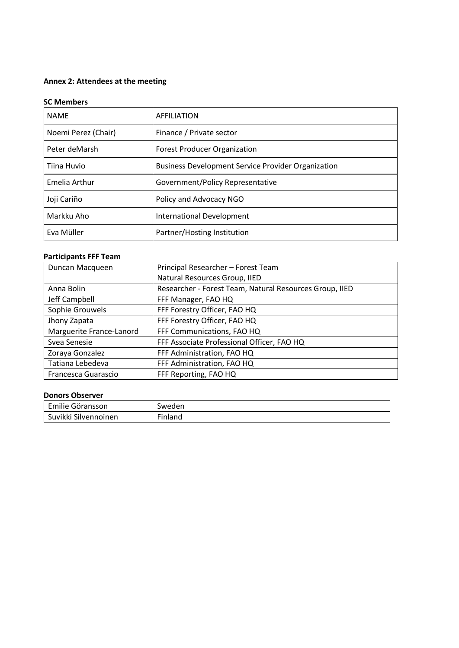# **Annex 2: Attendees at the meeting**

#### **SC Members**

| <b>NAME</b>          | <b>AFFILIATION</b>                                        |
|----------------------|-----------------------------------------------------------|
| Noemi Perez (Chair)  | Finance / Private sector                                  |
| Peter deMarsh        | <b>Forest Producer Organization</b>                       |
| Tiina Huvio          | <b>Business Development Service Provider Organization</b> |
| <b>Emelia Arthur</b> | Government/Policy Representative                          |
| Joji Cariño          | Policy and Advocacy NGO                                   |
| Markku Aho           | International Development                                 |
| Eva Müller           | Partner/Hosting Institution                               |

# **Participants FFF Team**

| Duncan Macqueen          | Principal Researcher - Forest Team                      |
|--------------------------|---------------------------------------------------------|
|                          | Natural Resources Group, IIED                           |
| Anna Bolin               | Researcher - Forest Team, Natural Resources Group, IIED |
| Jeff Campbell            | FFF Manager, FAO HQ                                     |
| Sophie Grouwels          | FFF Forestry Officer, FAO HQ                            |
| Jhony Zapata             | FFF Forestry Officer, FAO HQ                            |
| Marguerite France-Lanord | FFF Communications, FAO HQ                              |
| Svea Senesie             | FFF Associate Professional Officer, FAO HQ              |
| Zoraya Gonzalez          | FFF Administration, FAO HQ                              |
| Tatiana Lebedeva         | FFF Administration, FAO HQ                              |
| Francesca Guarascio      | FFF Reporting, FAO HQ                                   |

#### **Donors Observer**

| Emilie Göransson     | Sweden        |
|----------------------|---------------|
| Suvikki Silvennoinen | --<br>Finland |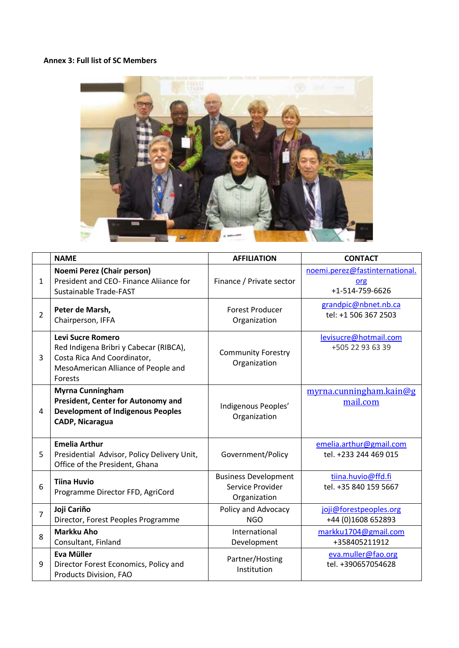## **Annex 3: Full list of SC Members**



|                | <b>NAME</b>                                                                                                                                         | <b>AFFILIATION</b>                                              | <b>CONTACT</b>                                           |
|----------------|-----------------------------------------------------------------------------------------------------------------------------------------------------|-----------------------------------------------------------------|----------------------------------------------------------|
| $\mathbf{1}$   | Noemi Perez (Chair person)<br>President and CEO- Finance Aliiance for<br>Sustainable Trade-FAST                                                     | Finance / Private sector                                        | noemi.perez@fastinternational.<br>org<br>+1-514-759-6626 |
| $\overline{2}$ | Peter de Marsh,<br>Chairperson, IFFA                                                                                                                | <b>Forest Producer</b><br>Organization                          | grandpic@nbnet.nb.ca<br>tel: +1 506 367 2503             |
| 3              | <b>Levi Sucre Romero</b><br>Red Indigena Bribri y Cabecar (RIBCA),<br>Costa Rica And Coordinator,<br>MesoAmerican Alliance of People and<br>Forests | <b>Community Forestry</b><br>Organization                       | levisucre@hotmail.com<br>+505 22 93 63 39                |
| 4              | <b>Myrna Cunningham</b><br>President, Center for Autonomy and<br><b>Development of Indigenous Peoples</b><br><b>CADP, Nicaragua</b>                 | Indigenous Peoples'<br>Organization                             | myrna.cunningham.kain@g<br>mail.com                      |
| 5              | <b>Emelia Arthur</b><br>Presidential Advisor, Policy Delivery Unit,<br>Office of the President, Ghana                                               | Government/Policy                                               | emelia.arthur@gmail.com<br>tel. +233 244 469 015         |
| 6              | <b>Tiina Huvio</b><br>Programme Director FFD, AgriCord                                                                                              | <b>Business Development</b><br>Service Provider<br>Organization | tiina.huvio@ffd.fi<br>tel. +35 840 159 5667              |
| $\overline{7}$ | Joji Cariño<br>Director, Forest Peoples Programme                                                                                                   | Policy and Advocacy<br><b>NGO</b>                               | joji@forestpeoples.org<br>+44 (0)1608 652893             |
| 8              | <b>Markku Aho</b><br>Consultant, Finland                                                                                                            | International<br>Development                                    | markku1704@gmail.com<br>+358405211912                    |
| 9              | <b>Eva Müller</b><br>Director Forest Economics, Policy and<br>Products Division, FAO                                                                | Partner/Hosting<br>Institution                                  | eva.muller@fao.org<br>tel. +390657054628                 |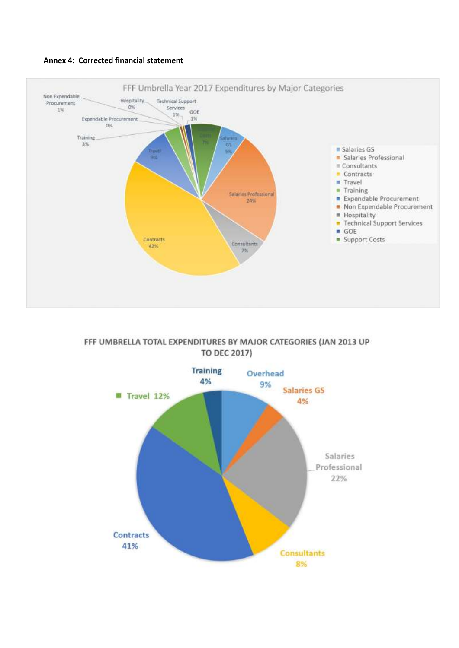



FFF UMBRELLA TOTAL EXPENDITURES BY MAJOR CATEGORIES (JAN 2013 UP **TO DEC 2017)** 

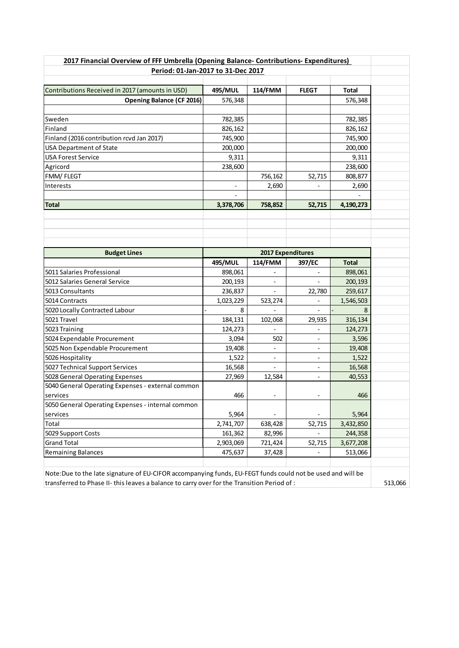|                                                   | Period: 01-Jan-2017 to 31-Dec 2017 |                              | 2017 Financial Overview of FFF Umbrella (Opening Balance- Contributions- Expenditures) |              |
|---------------------------------------------------|------------------------------------|------------------------------|----------------------------------------------------------------------------------------|--------------|
|                                                   |                                    |                              |                                                                                        |              |
| Contributions Received in 2017 (amounts in USD)   | 495/MUL                            | 114/FMM                      | <b>FLEGT</b>                                                                           | <b>Total</b> |
| <b>Opening Balance (CF 2016)</b>                  | 576,348                            |                              |                                                                                        | 576,348      |
|                                                   |                                    |                              |                                                                                        |              |
| Sweden                                            | 782,385                            |                              |                                                                                        | 782,385      |
| Finland                                           | 826,162                            |                              |                                                                                        | 826,162      |
| Finland (2016 contribution rcvd Jan 2017)         | 745,900                            |                              |                                                                                        | 745,900      |
| <b>USA Department of State</b>                    | 200,000                            |                              |                                                                                        | 200,000      |
| <b>USA Forest Service</b>                         | 9,311                              |                              |                                                                                        | 9,311        |
| Agricord                                          | 238,600                            |                              |                                                                                        | 238,600      |
| FMM/FLEGT                                         |                                    | 756,162                      | 52,715                                                                                 | 808,877      |
| Interests                                         |                                    | 2,690                        |                                                                                        | 2,690        |
|                                                   |                                    |                              |                                                                                        |              |
| <b>Total</b>                                      | 3,378,706                          | 758,852                      | 52,715                                                                                 | 4,190,273    |
|                                                   |                                    |                              |                                                                                        |              |
|                                                   |                                    |                              |                                                                                        |              |
|                                                   |                                    |                              |                                                                                        |              |
|                                                   |                                    |                              |                                                                                        |              |
| <b>Budget Lines</b>                               |                                    | 2017 Expenditures            |                                                                                        |              |
|                                                   | 495/MUL                            | 114/FMM                      | 397/EC                                                                                 | Total        |
| 5011 Salaries Professional                        | 898,061                            |                              |                                                                                        | 898,061      |
| 5012 Salaries General Service                     | 200,193                            |                              |                                                                                        | 200,193      |
| 5013 Consultants                                  | 236,837                            |                              | 22,780                                                                                 | 259,617      |
| 5014 Contracts                                    | 1,023,229                          | 523,274                      |                                                                                        | 1,546,503    |
| 5020 Locally Contracted Labour                    | 8                                  |                              |                                                                                        |              |
| 5021 Travel                                       | 184,131                            | 102,068                      | 29,935                                                                                 | 316,134      |
| 5023 Training                                     | 124,273                            |                              |                                                                                        | 124,273      |
| 5024 Expendable Procurement                       | 3,094                              | 502                          | $\overline{\phantom{a}}$                                                               | 3,596        |
| 5025 Non Expendable Procurement                   | 19,408                             |                              | $\overline{\phantom{a}}$                                                               | 19,408       |
| 5026 Hospitality                                  | 1,522                              | $\qquad \qquad \blacksquare$ | $\overline{\phantom{a}}$                                                               | 1,522        |
| 5027 Technical Support Services                   | 16,568                             |                              | $\overline{\phantom{a}}$                                                               | 16,568       |
| 5028 General Operating Expenses                   | 27,969                             | 12,584                       | $\overline{\phantom{a}}$                                                               | 40,553       |
| 5040 General Operating Expenses - external common |                                    |                              |                                                                                        |              |
| services                                          | 466                                | $\overline{\phantom{a}}$     | $\overline{\phantom{a}}$                                                               | 466          |
| 5050 General Operating Expenses - internal common |                                    |                              |                                                                                        |              |
| services                                          | 5,964                              |                              |                                                                                        | 5,964        |
| Total                                             | 2,741,707                          | 638,428                      | 52,715                                                                                 | 3,432,850    |
| 5029 Support Costs                                | 161,362                            | 82,996                       |                                                                                        | 244,358      |
|                                                   | 2,903,069                          | 721,424                      | 52,715                                                                                 | 3,677,208    |
|                                                   |                                    |                              |                                                                                        |              |
| <b>Grand Total</b><br>Remaining Balances          | 475,637                            | 37,428                       |                                                                                        | 513,066      |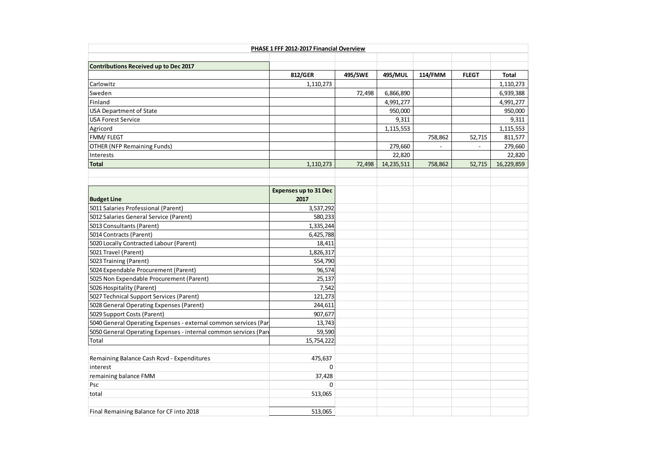| PHASE 1 FFF 2012-2017 Financial Overview                         |                              |         |            |         |              |              |  |
|------------------------------------------------------------------|------------------------------|---------|------------|---------|--------------|--------------|--|
|                                                                  |                              |         |            |         |              |              |  |
| Contributions Received up to Dec 2017                            |                              |         |            |         |              |              |  |
|                                                                  | 812/GER                      | 495/SWE | 495/MUL    | 114/FMM | <b>FLEGT</b> | <b>Total</b> |  |
| Carlowitz                                                        | 1,110,273                    |         |            |         |              | 1,110,273    |  |
| Sweden                                                           |                              | 72,498  | 6,866,890  |         |              | 6,939,388    |  |
| Finland                                                          |                              |         | 4,991,277  |         |              | 4,991,277    |  |
| <b>USA Department of State</b>                                   |                              |         | 950,000    |         |              | 950,000      |  |
| <b>USA Forest Service</b>                                        |                              |         | 9,311      |         |              | 9,311        |  |
| Agricord                                                         |                              |         | 1,115,553  |         |              | 1,115,553    |  |
| FMM/FLEGT                                                        |                              |         |            | 758,862 | 52,715       | 811,577      |  |
| <b>OTHER (NFP Remaining Funds)</b>                               |                              |         | 279,660    |         |              | 279,660      |  |
| Interests                                                        |                              |         | 22,820     |         |              | 22,820       |  |
| <b>Total</b>                                                     | 1,110,273                    | 72,498  | 14,235,511 | 758,862 | 52,715       | 16,229,859   |  |
|                                                                  |                              |         |            |         |              |              |  |
|                                                                  |                              |         |            |         |              |              |  |
|                                                                  | <b>Expenses up to 31 Dec</b> |         |            |         |              |              |  |
| <b>Budget Line</b>                                               | 2017                         |         |            |         |              |              |  |
| 5011 Salaries Professional (Parent)                              | 3,537,292                    |         |            |         |              |              |  |
| 5012 Salaries General Service (Parent)                           | 580,233                      |         |            |         |              |              |  |
| 5013 Consultants (Parent)                                        | 1,335,244                    |         |            |         |              |              |  |
| 5014 Contracts (Parent)                                          | 6,425,788                    |         |            |         |              |              |  |
| 5020 Locally Contracted Labour (Parent)                          | 18,411                       |         |            |         |              |              |  |
| 5021 Travel (Parent)                                             | 1,826,317                    |         |            |         |              |              |  |
| 5023 Training (Parent)                                           | 554,790                      |         |            |         |              |              |  |
| 5024 Expendable Procurement (Parent)                             | 96,574                       |         |            |         |              |              |  |
| 5025 Non Expendable Procurement (Parent)                         | 25,137                       |         |            |         |              |              |  |
| 5026 Hospitality (Parent)                                        | 7,542                        |         |            |         |              |              |  |
| 5027 Technical Support Services (Parent)                         | 121,273                      |         |            |         |              |              |  |
| 5028 General Operating Expenses (Parent)                         | 244,611                      |         |            |         |              |              |  |
| 5029 Support Costs (Parent)                                      | 907,677                      |         |            |         |              |              |  |
| 5040 General Operating Expenses - external common services (Par  | 13,743                       |         |            |         |              |              |  |
| 5050 General Operating Expenses - internal common services (Pare | 59,590                       |         |            |         |              |              |  |
| Total                                                            | 15,754,222                   |         |            |         |              |              |  |
|                                                                  |                              |         |            |         |              |              |  |
| Remaining Balance Cash Rcvd - Expenditures                       | 475,637                      |         |            |         |              |              |  |
| interest                                                         | $\mathbf 0$                  |         |            |         |              |              |  |
| remaining balance FMM                                            | 37,428                       |         |            |         |              |              |  |
| Psc                                                              | $\mathbf 0$                  |         |            |         |              |              |  |
| total                                                            | 513,065                      |         |            |         |              |              |  |
|                                                                  |                              |         |            |         |              |              |  |
| Final Remaining Balance for CF into 2018                         | 513,065                      |         |            |         |              |              |  |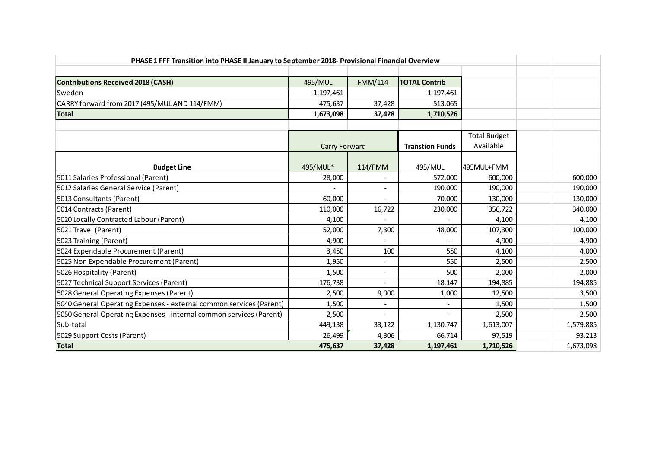| PHASE 1 FFF Transition into PHASE II January to September 2018- Provisional Financial Overview |                      |                |                        |                     |  |           |
|------------------------------------------------------------------------------------------------|----------------------|----------------|------------------------|---------------------|--|-----------|
|                                                                                                |                      |                |                        |                     |  |           |
| <b>Contributions Received 2018 (CASH)</b>                                                      | 495/MUL              | <b>FMM/114</b> | <b>TOTAL Contrib</b>   |                     |  |           |
| Sweden                                                                                         | 1,197,461            |                | 1,197,461              |                     |  |           |
| CARRY forward from 2017 (495/MUL AND 114/FMM)                                                  | 475,637              | 37,428         | 513,065                |                     |  |           |
| <b>Total</b>                                                                                   | 1,673,098            | 37,428         | 1,710,526              |                     |  |           |
|                                                                                                |                      |                |                        | <b>Total Budget</b> |  |           |
|                                                                                                | <b>Carry Forward</b> |                | <b>Transtion Funds</b> | Available           |  |           |
|                                                                                                |                      |                |                        |                     |  |           |
| <b>Budget Line</b>                                                                             | 495/MUL*             | 114/FMM        | 495/MUL                | 495MUL+FMM          |  |           |
| 5011 Salaries Professional (Parent)                                                            | 28,000               |                | 572,000                | 600,000             |  | 600,000   |
| 5012 Salaries General Service (Parent)                                                         |                      |                | 190,000                | 190,000             |  | 190,000   |
| 5013 Consultants (Parent)                                                                      | 60,000               |                | 70,000                 | 130,000             |  | 130,000   |
| 5014 Contracts (Parent)                                                                        | 110,000              | 16,722         | 230,000                | 356,722             |  | 340,000   |
| 5020 Locally Contracted Labour (Parent)                                                        | 4,100                |                |                        | 4,100               |  | 4,100     |
| 5021 Travel (Parent)                                                                           | 52,000               | 7,300          | 48,000                 | 107,300             |  | 100,000   |
| 5023 Training (Parent)                                                                         | 4,900                | $\overline{a}$ |                        | 4,900               |  | 4,900     |
| 5024 Expendable Procurement (Parent)                                                           | 3,450                | 100            | 550                    | 4,100               |  | 4,000     |
| 5025 Non Expendable Procurement (Parent)                                                       | 1,950                |                | 550                    | 2,500               |  | 2,500     |
| 5026 Hospitality (Parent)                                                                      | 1,500                | $\blacksquare$ | 500                    | 2,000               |  | 2,000     |
| 5027 Technical Support Services (Parent)                                                       | 176,738              |                | 18,147                 | 194,885             |  | 194,885   |
| 5028 General Operating Expenses (Parent)                                                       | 2,500                | 9,000          | 1,000                  | 12,500              |  | 3,500     |
| 5040 General Operating Expenses - external common services (Parent)                            | 1,500                | $\blacksquare$ |                        | 1,500               |  | 1,500     |
| 5050 General Operating Expenses - internal common services (Parent)                            | 2,500                |                |                        | 2,500               |  | 2,500     |
| Sub-total                                                                                      | 449,138              | 33,122         | 1,130,747              | 1,613,007           |  | 1,579,885 |
| 5029 Support Costs (Parent)                                                                    | 26,499               | 4,306          | 66,714                 | 97,519              |  | 93,213    |
| <b>Total</b>                                                                                   | 475,637              | 37,428         | 1,197,461              | 1,710,526           |  | 1,673,098 |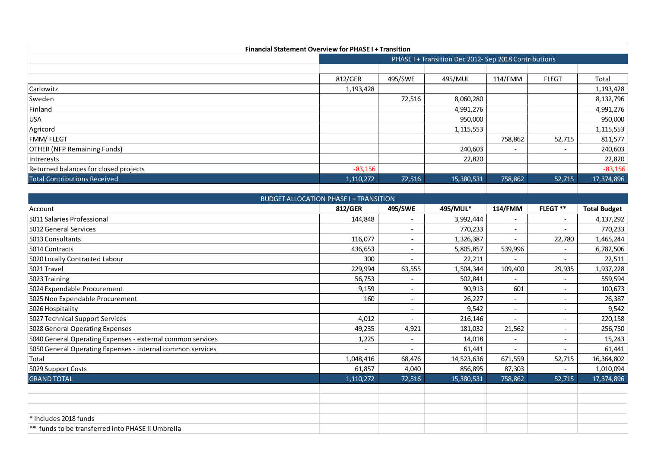| <b>Financial Statement Overview for PHASE I + Transition</b> |           |                                                       |            |         |              |            |  |  |  |
|--------------------------------------------------------------|-----------|-------------------------------------------------------|------------|---------|--------------|------------|--|--|--|
|                                                              |           | PHASE I + Transition Dec 2012- Sep 2018 Contributions |            |         |              |            |  |  |  |
|                                                              |           |                                                       |            |         |              |            |  |  |  |
|                                                              | 812/GER   | 495/SWE                                               | 495/MUL    | 114/FMM | <b>FLEGT</b> | Total      |  |  |  |
| Carlowitz                                                    | 1,193,428 |                                                       |            |         |              | 1,193,428  |  |  |  |
| Sweden                                                       |           | 72,516                                                | 8,060,280  |         |              | 8,132,796  |  |  |  |
| Finland                                                      |           |                                                       | 4,991,276  |         |              | 4,991,276  |  |  |  |
| <b>USA</b>                                                   |           |                                                       | 950,000    |         |              | 950,000    |  |  |  |
| Agricord                                                     |           |                                                       | 1,115,553  |         |              | 1,115,553  |  |  |  |
| <b>FMM/FLEGT</b>                                             |           |                                                       |            | 758,862 | 52,715       | 811,577    |  |  |  |
| <b>OTHER (NFP Remaining Funds)</b>                           |           |                                                       | 240,603    |         |              | 240,603    |  |  |  |
| Intrerests                                                   |           |                                                       | 22,820     |         |              | 22,820     |  |  |  |
| Returned balances for closed projects                        | $-83,156$ |                                                       |            |         |              | $-83,156$  |  |  |  |
| <b>Total Contributions Received</b>                          | 1,110,272 | 72,516                                                | 15,380,531 | 758,862 | 52,715       | 17,374,896 |  |  |  |
|                                                              |           |                                                       |            |         |              |            |  |  |  |
| DUDCET ALLOCATION DUACEL 1 TRANSITION                        |           |                                                       |            |         |              |            |  |  |  |

| <b>BUDGET ALLOCATION PHASE I + TRANSITION</b>              |                |                          |            |                          |                          |                     |  |  |
|------------------------------------------------------------|----------------|--------------------------|------------|--------------------------|--------------------------|---------------------|--|--|
| Account                                                    | 812/GER        | 495/SWE                  | 495/MUL*   | 114/FMM                  | FLEGT**                  | <b>Total Budget</b> |  |  |
| 5011 Salaries Professional                                 | 144,848        | $\overline{\phantom{a}}$ | 3,992,444  |                          | $\overline{\phantom{0}}$ | 4,137,292           |  |  |
| 5012 General Services                                      |                | $\overline{\phantom{a}}$ | 770,233    | $\overline{\phantom{a}}$ | $\overline{\phantom{0}}$ | 770,233             |  |  |
| 5013 Consultants                                           | 116,077        | $\overline{\phantom{0}}$ | 1,326,387  |                          | 22,780                   | 1,465,244           |  |  |
| 5014 Contracts                                             | 436,653        | $\overline{\phantom{0}}$ | 5,805,857  | 539,996                  |                          | 6,782,506           |  |  |
| 5020 Locally Contracted Labour                             | 300            | $\overline{\phantom{a}}$ | 22,211     |                          |                          | 22,511              |  |  |
| 5021 Travel                                                | 229,994        | 63,555                   | 1,504,344  | 109,400                  | 29,935                   | 1,937,228           |  |  |
| 5023 Training                                              | 56,753         | $\overline{\phantom{a}}$ | 502,841    |                          |                          | 559,594             |  |  |
| 5024 Expendable Procurement                                | 9,159          | $\overline{\phantom{0}}$ | 90,913     | 601                      | $\overline{\phantom{0}}$ | 100,673             |  |  |
| 5025 Non Expendable Procurement                            | 160            | $\overline{\phantom{a}}$ | 26,227     |                          | $\overline{\phantom{0}}$ | 26,387              |  |  |
| 5026 Hospitality                                           |                | $\overline{\phantom{a}}$ | 9,542      | $\overline{\phantom{a}}$ |                          | 9,542               |  |  |
| 5027 Technical Support Services                            | 4,012          | $\overline{\phantom{a}}$ | 216,146    |                          |                          | 220,158             |  |  |
| 5028 General Operating Expenses                            | 49,235         | 4,921                    | 181,032    | 21,562                   |                          | 256,750             |  |  |
| 5040 General Operating Expenses - external common services | 1,225          | $\overline{\phantom{a}}$ | 14,018     |                          |                          | 15,243              |  |  |
| 5050 General Operating Expenses - internal common services | $\overline{a}$ | $\overline{\phantom{0}}$ | 61,441     |                          |                          | 61,441              |  |  |
| Total                                                      | 1,048,416      | 68,476                   | 14,523,636 | 671,559                  | 52,715                   | 16,364,802          |  |  |
| 5029 Support Costs                                         | 61,857         | 4,040                    | 856,895    | 87,303                   | $\overline{\phantom{0}}$ | 1,010,094           |  |  |
| <b>GRAND TOTAL</b>                                         | 1,110,272      | 72,516                   | 15,380,531 | 758,862                  | 52,715                   | 17,374,896          |  |  |
|                                                            |                |                          |            |                          |                          |                     |  |  |
|                                                            |                |                          |            |                          |                          |                     |  |  |
|                                                            |                |                          |            |                          |                          |                     |  |  |
| * Includes 2018 funds                                      |                |                          |            |                          |                          |                     |  |  |
| ** funds to be transferred into PHASE II Umbrella          |                |                          |            |                          |                          |                     |  |  |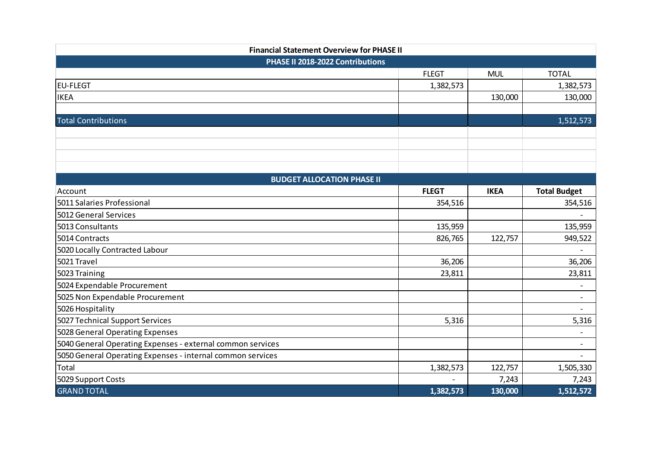| <b>Financial Statement Overview for PHASE II</b>           |              |             |                          |  |  |  |
|------------------------------------------------------------|--------------|-------------|--------------------------|--|--|--|
| PHASE II 2018-2022 Contributions                           |              |             |                          |  |  |  |
|                                                            | <b>FLEGT</b> | <b>MUL</b>  | <b>TOTAL</b>             |  |  |  |
| <b>EU-FLEGT</b>                                            | 1,382,573    |             | 1,382,573                |  |  |  |
| <b>IKEA</b>                                                |              | 130,000     | 130,000                  |  |  |  |
|                                                            |              |             |                          |  |  |  |
| <b>Total Contributions</b>                                 |              |             | 1,512,573                |  |  |  |
|                                                            |              |             |                          |  |  |  |
|                                                            |              |             |                          |  |  |  |
|                                                            |              |             |                          |  |  |  |
|                                                            |              |             |                          |  |  |  |
| <b>BUDGET ALLOCATION PHASE II</b>                          |              |             |                          |  |  |  |
| Account                                                    | <b>FLEGT</b> | <b>IKEA</b> | <b>Total Budget</b>      |  |  |  |
| 5011 Salaries Professional                                 | 354,516      |             | 354,516                  |  |  |  |
| 5012 General Services                                      |              |             |                          |  |  |  |
| 5013 Consultants                                           | 135,959      |             | 135,959                  |  |  |  |
| 5014 Contracts                                             | 826,765      | 122,757     | 949,522                  |  |  |  |
| 5020 Locally Contracted Labour                             |              |             |                          |  |  |  |
| 5021 Travel                                                | 36,206       |             | 36,206                   |  |  |  |
| 5023 Training                                              | 23,811       |             | 23,811                   |  |  |  |
| 5024 Expendable Procurement                                |              |             | $\overline{a}$           |  |  |  |
| 5025 Non Expendable Procurement                            |              |             | $\overline{a}$           |  |  |  |
| 5026 Hospitality                                           |              |             | $\overline{\phantom{a}}$ |  |  |  |
| 5027 Technical Support Services                            | 5,316        |             | 5,316                    |  |  |  |
| 5028 General Operating Expenses                            |              |             | $\overline{\phantom{a}}$ |  |  |  |
| 5040 General Operating Expenses - external common services |              |             | $\overline{\phantom{a}}$ |  |  |  |
| 5050 General Operating Expenses - internal common services |              |             | $\overline{\phantom{a}}$ |  |  |  |
| Total                                                      | 1,382,573    | 122,757     | 1,505,330                |  |  |  |
| 5029 Support Costs                                         |              | 7,243       | 7,243                    |  |  |  |
| <b>GRAND TOTAL</b>                                         | 1,382,573    | 130,000     | 1,512,572                |  |  |  |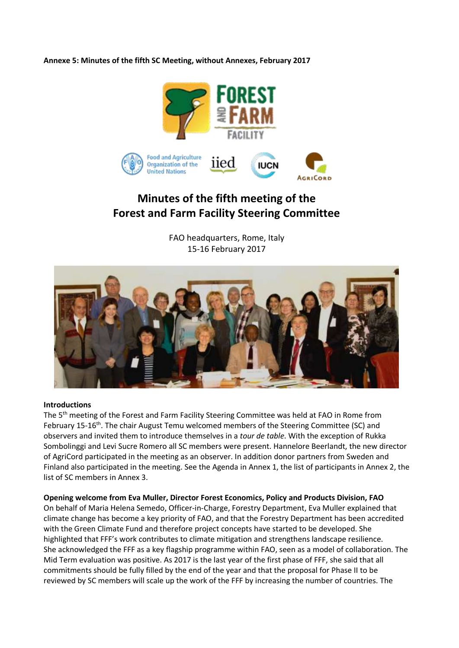**Annexe 5: Minutes of the fifth SC Meeting, without Annexes, February 2017**



# **Minutes of the fifth meeting of the Forest and Farm Facility Steering Committee**

FAO headquarters, Rome, Italy 15-16 February 2017



#### **Introductions**

The 5<sup>th</sup> meeting of the Forest and Farm Facility Steering Committee was held at FAO in Rome from February 15-16<sup>th</sup>. The chair August Temu welcomed members of the Steering Committee (SC) and observers and invited them to introduce themselves in a *tour de table*. With the exception of Rukka Sombolinggi and Levi Sucre Romero all SC members were present. Hannelore Beerlandt, the new director of AgriCord participated in the meeting as an observer. In addition donor partners from Sweden and Finland also participated in the meeting. See the Agenda in Annex 1, the list of participants in Annex 2, the list of SC members in Annex 3.

#### **Opening welcome from Eva Muller, Director Forest Economics, Policy and Products Division, FAO**

On behalf of Maria Helena Semedo, Officer-in-Charge, Forestry Department, Eva Muller explained that climate change has become a key priority of FAO, and that the Forestry Department has been accredited with the Green Climate Fund and therefore project concepts have started to be developed. She highlighted that FFF's work contributes to climate mitigation and strengthens landscape resilience. She acknowledged the FFF as a key flagship programme within FAO, seen as a model of collaboration. The Mid Term evaluation was positive. As 2017 is the last year of the first phase of FFF, she said that all commitments should be fully filled by the end of the year and that the proposal for Phase II to be reviewed by SC members will scale up the work of the FFF by increasing the number of countries. The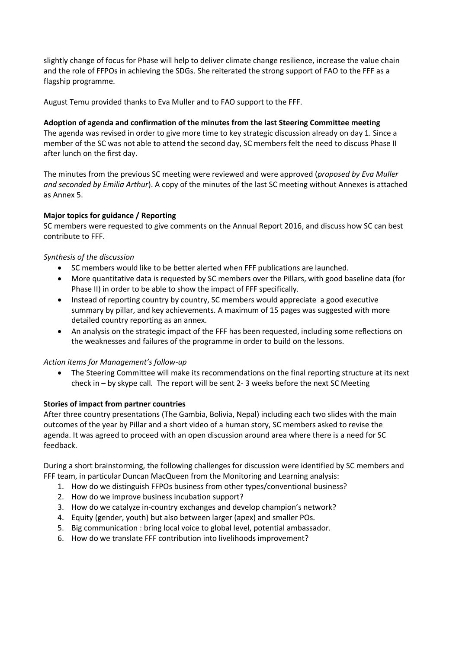slightly change of focus for Phase will help to deliver climate change resilience, increase the value chain and the role of FFPOs in achieving the SDGs. She reiterated the strong support of FAO to the FFF as a flagship programme.

August Temu provided thanks to Eva Muller and to FAO support to the FFF.

**Adoption of agenda and confirmation of the minutes from the last Steering Committee meeting** The agenda was revised in order to give more time to key strategic discussion already on day 1. Since a member of the SC was not able to attend the second day, SC members felt the need to discuss Phase II after lunch on the first day.

The minutes from the previous SC meeting were reviewed and were approved (*proposed by Eva Muller and seconded by Emilia Arthur*). A copy of the minutes of the last SC meeting without Annexes is attached as Annex 5.

#### **Major topics for guidance / Reporting**

SC members were requested to give comments on the Annual Report 2016, and discuss how SC can best contribute to FFF.

#### *Synthesis of the discussion*

- SC members would like to be better alerted when FFF publications are launched.
- More quantitative data is requested by SC members over the Pillars, with good baseline data (for Phase II) in order to be able to show the impact of FFF specifically.
- Instead of reporting country by country, SC members would appreciate a good executive summary by pillar, and key achievements. A maximum of 15 pages was suggested with more detailed country reporting as an annex.
- An analysis on the strategic impact of the FFF has been requested, including some reflections on the weaknesses and failures of the programme in order to build on the lessons.

#### *Action items for Management's follow-up*

 The Steering Committee will make its recommendations on the final reporting structure at its next check in – by skype call. The report will be sent 2- 3 weeks before the next SC Meeting

#### **Stories of impact from partner countries**

After three country presentations (The Gambia, Bolivia, Nepal) including each two slides with the main outcomes of the year by Pillar and a short video of a human story, SC members asked to revise the agenda. It was agreed to proceed with an open discussion around area where there is a need for SC feedback.

During a short brainstorming, the following challenges for discussion were identified by SC members and FFF team, in particular Duncan MacQueen from the Monitoring and Learning analysis:

- 1. How do we distinguish FFPOs business from other types/conventional business?
- 2. How do we improve business incubation support?
- 3. How do we catalyze in-country exchanges and develop champion's network?
- 4. Equity (gender, youth) but also between larger (apex) and smaller POs.
- 5. Big communication : bring local voice to global level, potential ambassador.
- 6. How do we translate FFF contribution into livelihoods improvement?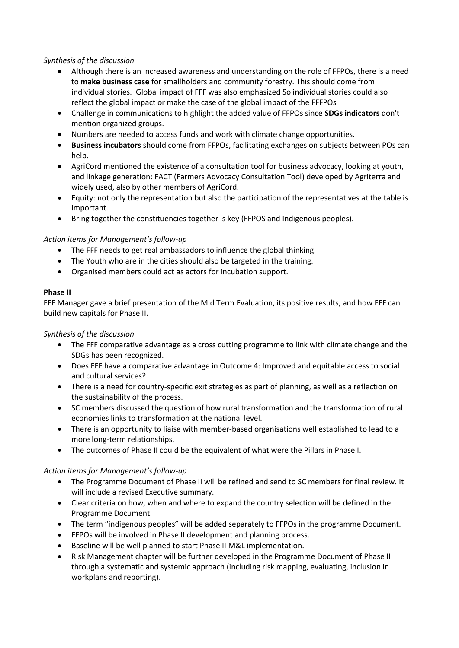# *Synthesis of the discussion*

- Although there is an increased awareness and understanding on the role of FFPOs, there is a need to **make business case** for smallholders and community forestry. This should come from individual stories. Global impact of FFF was also emphasized So individual stories could also reflect the global impact or make the case of the global impact of the FFFPOs
- Challenge in communications to highlight the added value of FFPOs since **SDGs indicators** don't mention organized groups.
- Numbers are needed to access funds and work with climate change opportunities.
- **Business incubators** should come from FFPOs, facilitating exchanges on subjects between POs can help.
- AgriCord mentioned the existence of a consultation tool for business advocacy, looking at youth, and linkage generation: FACT (Farmers Advocacy Consultation Tool) developed by Agriterra and widely used, also by other members of AgriCord.
- Equity: not only the representation but also the participation of the representatives at the table is important.
- Bring together the constituencies together is key (FFPOS and Indigenous peoples).

# *Action items for Management's follow-up*

- The FFF needs to get real ambassadors to influence the global thinking.
- The Youth who are in the cities should also be targeted in the training.
- Organised members could act as actors for incubation support.

#### **Phase II**

FFF Manager gave a brief presentation of the Mid Term Evaluation, its positive results, and how FFF can build new capitals for Phase II.

# *Synthesis of the discussion*

- The FFF comparative advantage as a cross cutting programme to link with climate change and the SDGs has been recognized.
- Does FFF have a comparative advantage in Outcome 4: Improved and equitable access to social and cultural services?
- There is a need for country-specific exit strategies as part of planning, as well as a reflection on the sustainability of the process.
- SC members discussed the question of how rural transformation and the transformation of rural economies links to transformation at the national level.
- There is an opportunity to liaise with member-based organisations well established to lead to a more long-term relationships.
- The outcomes of Phase II could be the equivalent of what were the Pillars in Phase I.

# *Action items for Management's follow-up*

- The Programme Document of Phase II will be refined and send to SC members for final review. It will include a revised Executive summary.
- Clear criteria on how, when and where to expand the country selection will be defined in the Programme Document.
- The term "indigenous peoples" will be added separately to FFPOs in the programme Document.
- FFPOs will be involved in Phase II development and planning process.
- Baseline will be well planned to start Phase II M&L implementation.
- Risk Management chapter will be further developed in the Programme Document of Phase II through a systematic and systemic approach (including risk mapping, evaluating, inclusion in workplans and reporting).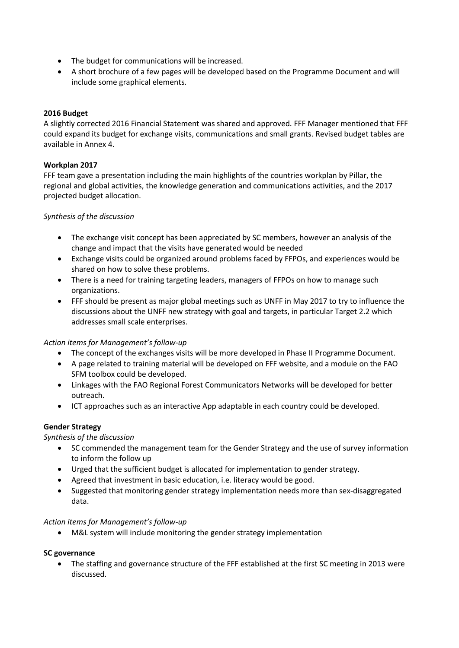- The budget for communications will be increased.
- A short brochure of a few pages will be developed based on the Programme Document and will include some graphical elements.

# **2016 Budget**

A slightly corrected 2016 Financial Statement was shared and approved. FFF Manager mentioned that FFF could expand its budget for exchange visits, communications and small grants. Revised budget tables are available in Annex 4.

# **Workplan 2017**

FFF team gave a presentation including the main highlights of the countries workplan by Pillar, the regional and global activities, the knowledge generation and communications activities, and the 2017 projected budget allocation.

#### *Synthesis of the discussion*

- The exchange visit concept has been appreciated by SC members, however an analysis of the change and impact that the visits have generated would be needed
- Exchange visits could be organized around problems faced by FFPOs, and experiences would be shared on how to solve these problems.
- There is a need for training targeting leaders, managers of FFPOs on how to manage such organizations.
- FFF should be present as major global meetings such as UNFF in May 2017 to try to influence the discussions about the UNFF new strategy with goal and targets, in particular Target 2.2 which addresses small scale enterprises.

# *Action items for Management's follow-up*

- The concept of the exchanges visits will be more developed in Phase II Programme Document.
- A page related to training material will be developed on FFF website, and a module on the FAO SFM toolbox could be developed.
- Linkages with the FAO Regional Forest Communicators Networks will be developed for better outreach.
- ICT approaches such as an interactive App adaptable in each country could be developed.

# **Gender Strategy**

# *Synthesis of the discussion*

- SC commended the management team for the Gender Strategy and the use of survey information to inform the follow up
- Urged that the sufficient budget is allocated for implementation to gender strategy.
- Agreed that investment in basic education, i.e. literacy would be good.
- Suggested that monitoring gender strategy implementation needs more than sex-disaggregated data.

# *Action items for Management's follow-up*

M&L system will include monitoring the gender strategy implementation

# **SC governance**

 The staffing and governance structure of the FFF established at the first SC meeting in 2013 were discussed.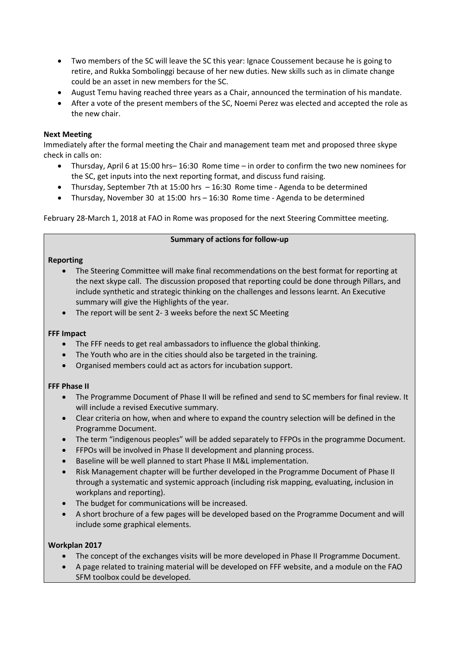- Two members of the SC will leave the SC this year: Ignace Coussement because he is going to retire, and Rukka Sombolinggi because of her new duties. New skills such as in climate change could be an asset in new members for the SC.
- August Temu having reached three years as a Chair, announced the termination of his mandate.
- After a vote of the present members of the SC, Noemi Perez was elected and accepted the role as the new chair.

## **Next Meeting**

Immediately after the formal meeting the Chair and management team met and proposed three skype check in calls on:

- Thursday, April 6 at 15:00 hrs– 16:30 Rome time in order to confirm the two new nominees for the SC, get inputs into the next reporting format, and discuss fund raising.
- Thursday, September 7th at 15:00 hrs 16:30 Rome time Agenda to be determined
- Thursday, November 30 at 15:00 hrs 16:30 Rome time Agenda to be determined

February 28-March 1, 2018 at FAO in Rome was proposed for the next Steering Committee meeting.

#### **Summary of actions for follow-up**

#### **Reporting**

- The Steering Committee will make final recommendations on the best format for reporting at the next skype call. The discussion proposed that reporting could be done through Pillars, and include synthetic and strategic thinking on the challenges and lessons learnt. An Executive summary will give the Highlights of the year.
- The report will be sent 2- 3 weeks before the next SC Meeting

#### **FFF Impact**

- The FFF needs to get real ambassadors to influence the global thinking.
- The Youth who are in the cities should also be targeted in the training.
- Organised members could act as actors for incubation support.

# **FFF Phase II**

- The Programme Document of Phase II will be refined and send to SC members for final review. It will include a revised Executive summary.
- Clear criteria on how, when and where to expand the country selection will be defined in the Programme Document.
- The term "indigenous peoples" will be added separately to FFPOs in the programme Document.
- FFPOs will be involved in Phase II development and planning process.
- Baseline will be well planned to start Phase II M&L implementation.
- Risk Management chapter will be further developed in the Programme Document of Phase II through a systematic and systemic approach (including risk mapping, evaluating, inclusion in workplans and reporting).
- The budget for communications will be increased.
- A short brochure of a few pages will be developed based on the Programme Document and will include some graphical elements.

# **Workplan 2017**

- The concept of the exchanges visits will be more developed in Phase II Programme Document.
- A page related to training material will be developed on FFF website, and a module on the FAO SFM toolbox could be developed.